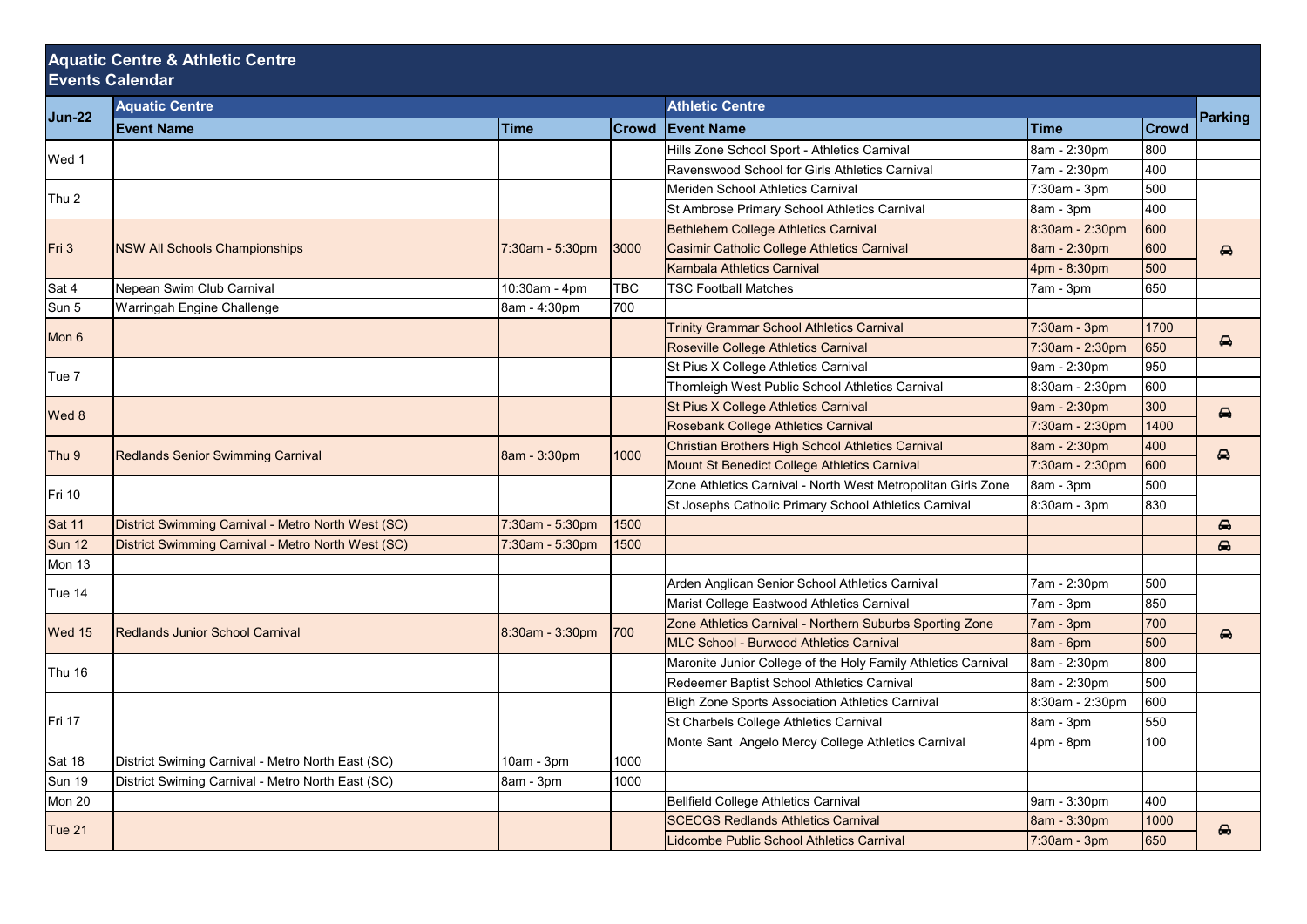## **Aquatic Centre & Athletic Centre Events Calendar**

| <b>Jun-22</b>    | <b>Aquatic Centre</b>                              |                 |              | <b>Athletic Centre</b>                                        |                 |              |                       |
|------------------|----------------------------------------------------|-----------------|--------------|---------------------------------------------------------------|-----------------|--------------|-----------------------|
|                  | <b>Event Name</b>                                  | Time            | <b>Crowd</b> | <b>Event Name</b>                                             | <b>Time</b>     | <b>Crowd</b> | <b>Parking</b>        |
|                  |                                                    |                 |              | Hills Zone School Sport - Athletics Carnival                  | 8am - 2:30pm    | 800          |                       |
| Wed 1            |                                                    |                 |              | Ravenswood School for Girls Athletics Carnival                | 7am - 2:30pm    | 400          |                       |
| Thu 2            |                                                    |                 |              | Meriden School Athletics Carnival                             | 7:30am - 3pm    | 500          |                       |
|                  |                                                    |                 |              | St Ambrose Primary School Athletics Carnival                  | 8am - 3pm       | 400          |                       |
| Fri 3            | <b>NSW All Schools Championships</b>               | 7:30am - 5:30pm | 3000         | <b>Bethlehem College Athletics Carnival</b>                   | 8:30am - 2:30pm | 600          | ⊖                     |
|                  |                                                    |                 |              | Casimir Catholic College Athletics Carnival                   | 8am - 2:30pm    | 600          |                       |
|                  |                                                    |                 |              | Kambala Athletics Carnival                                    | 4pm - 8:30pm    | 500          |                       |
| Sat 4            | Nepean Swim Club Carnival                          | 10:30am - 4pm   | <b>TBC</b>   | <b>TSC Football Matches</b>                                   | 7am - 3pm       | 650          |                       |
| Sun 5            | Warringah Engine Challenge                         | 8am - 4:30pm    | 700          |                                                               |                 |              |                       |
| Mon 6            |                                                    |                 |              | <b>Trinity Grammar School Athletics Carnival</b>              | 7:30am - 3pm    | 1700         | $\bullet$             |
|                  |                                                    |                 |              | Roseville College Athletics Carnival                          | 7:30am - 2:30pm | 650          |                       |
| Tue 7            |                                                    |                 |              | St Pius X College Athletics Carnival                          | 9am - 2:30pm    | 950          |                       |
|                  |                                                    |                 |              | Thornleigh West Public School Athletics Carnival              | 8:30am - 2:30pm | 600          |                       |
| Wed 8            |                                                    |                 |              | St Pius X College Athletics Carnival                          | 9am - 2:30pm    | 300          | $\bullet$             |
|                  |                                                    |                 |              | Rosebank College Athletics Carnival                           | 7:30am - 2:30pm | 1400         |                       |
| Thu <sub>9</sub> | <b>Redlands Senior Swimming Carnival</b>           | 8am - 3:30pm    | 1000         | Christian Brothers High School Athletics Carnival             | 8am - 2:30pm    | 400          | ⊖                     |
|                  |                                                    |                 |              | Mount St Benedict College Athletics Carnival                  | 7:30am - 2:30pm | 600          |                       |
| Fri 10           |                                                    |                 |              | Zone Athletics Carnival - North West Metropolitan Girls Zone  | 8am - 3pm       | 500          |                       |
|                  |                                                    |                 |              | St Josephs Catholic Primary School Athletics Carnival         | 8:30am - 3pm    | 830          |                       |
| Sat 11           | District Swimming Carnival - Metro North West (SC) | 7:30am - 5:30pm | 1500         |                                                               |                 |              | $\bullet$             |
| Sun 12           | District Swimming Carnival - Metro North West (SC) | 7:30am - 5:30pm | 1500         |                                                               |                 |              | $\triangle$           |
| Mon 13           |                                                    |                 |              |                                                               |                 |              |                       |
| Tue 14           |                                                    |                 |              | Arden Anglican Senior School Athletics Carnival               | 7am - 2:30pm    | 500          |                       |
|                  |                                                    |                 |              | Marist College Eastwood Athletics Carnival                    | 7am - 3pm       | 850          |                       |
| Wed 15           | <b>Redlands Junior School Carnival</b>             | 8:30am - 3:30pm | 700          | Zone Athletics Carnival - Northern Suburbs Sporting Zone      | 7am - 3pm       | 700          | $\boldsymbol{\Theta}$ |
|                  |                                                    |                 |              | MLC School - Burwood Athletics Carnival                       | 8am - 6pm       | 500          |                       |
| Thu 16           |                                                    |                 |              | Maronite Junior College of the Holy Family Athletics Carnival | 8am - 2:30pm    | 800          |                       |
|                  |                                                    |                 |              | Redeemer Baptist School Athletics Carnival                    | 8am - 2:30pm    | 500          |                       |
| Fri 17           |                                                    |                 |              | <b>Bligh Zone Sports Association Athletics Carnival</b>       | 8:30am - 2:30pm | 600          |                       |
|                  |                                                    |                 |              | St Charbels College Athletics Carnival                        | 8am - 3pm       | 550          |                       |
|                  |                                                    |                 |              | Monte Sant Angelo Mercy College Athletics Carnival            | 4pm - 8pm       | 100          |                       |
| Sat 18           | District Swiming Carnival - Metro North East (SC)  | 10am - 3pm      | 1000         |                                                               |                 |              |                       |
| Sun 19           | District Swiming Carnival - Metro North East (SC)  | 8am - 3pm       | 1000         |                                                               |                 |              |                       |
| Mon 20           |                                                    |                 |              | <b>Bellfield College Athletics Carnival</b>                   | 9am - 3:30pm    | 400          |                       |
| Tue 21           |                                                    |                 |              | <b>SCECGS Redlands Athletics Carnival</b>                     | 8am - 3:30pm    | 1000         | $\bullet$             |
|                  |                                                    |                 |              | Lidcombe Public School Athletics Carnival                     | 7:30am - 3pm    | 650          |                       |